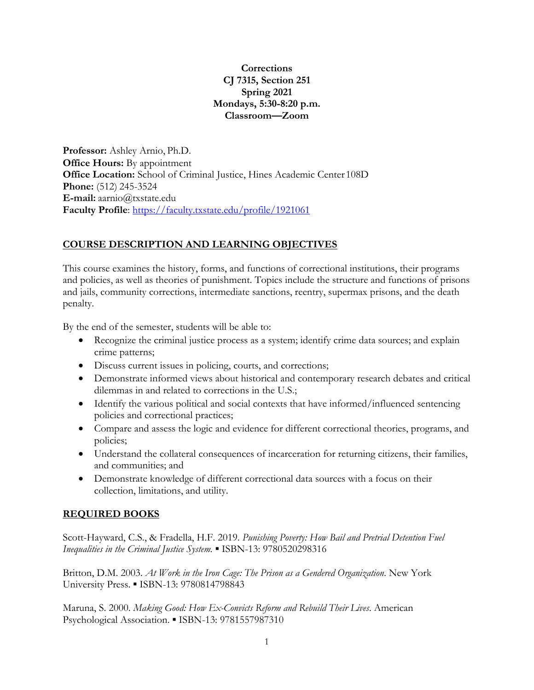## **Corrections CJ 7315, Section 251 Spring 2021 Mondays, 5:30-8:20 p.m. Classroom—Zoom**

**Professor:** Ashley Arnio, Ph.D. **Office Hours:** By appointment **Office Location:** School of Criminal Justice, Hines Academic Center 108D **Phone:** (512) 245-3524 **E-mail:** [aarnio@txstate.edu](mailto:aarnio@txstate.edu) **Faculty Profile**:<https://faculty.txstate.edu/profile/1921061>

# **COURSE DESCRIPTION AND LEARNING OBJECTIVES**

This course examines the history, forms, and functions of correctional institutions, their programs and policies, as well as theories of punishment. Topics include the structure and functions of prisons and jails, community corrections, intermediate sanctions, reentry, supermax prisons, and the death penalty.

By the end of the semester, students will be able to:

- Recognize the criminal justice process as a system; identify crime data sources; and explain crime patterns;
- Discuss current issues in policing, courts, and corrections;
- Demonstrate informed views about historical and contemporary research debates and critical dilemmas in and related to corrections in the U.S.;
- Identify the various political and social contexts that have informed/influenced sentencing policies and correctional practices;
- Compare and assess the logic and evidence for different correctional theories, programs, and policies;
- Understand the collateral consequences of incarceration for returning citizens, their families, and communities; and
- Demonstrate knowledge of different correctional data sources with a focus on their collection, limitations, and utility.

# **REQUIRED BOOKS**

Scott-Hayward, C.S., & Fradella, H.F. 2019. *Punishing Poverty: How Bail and Pretrial Detention Fuel Inequalities in the Criminal Justice System.* ▪ ISBN-13: 9780520298316

Britton, D.M. 2003. *At Work in the Iron Cage: The Prison as a Gendered Organization*. New York University Press. ▪ ISBN-13: 9780814798843

Maruna, S. 2000. *Making Good: How Ex-Convicts Reform and Rebuild Their Lives*. American Psychological Association. ▪ ISBN-13: 9781557987310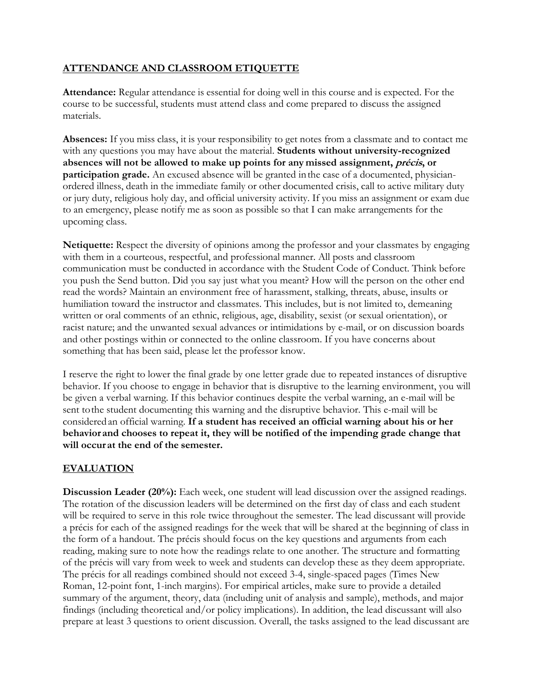# **ATTENDANCE AND CLASSROOM ETIQUETTE**

**Attendance:** Regular attendance is essential for doing well in this course and is expected. For the course to be successful, students must attend class and come prepared to discuss the assigned materials.

**Absences:** If you miss class, it is your responsibility to get notes from a classmate and to contact me with any questions you may have about the material. **Students without university-recognized absences will not be allowed to make up points for any missed assignment, précis, or participation grade.** An excused absence will be granted inthe case of a documented, physicianordered illness, death in the immediate family or other documented crisis, call to active military duty or jury duty, religious holy day, and official university activity. If you miss an assignment or exam due to an emergency, please notify me as soon as possible so that I can make arrangements for the upcoming class.

**Netiquette:** Respect the diversity of opinions among the professor and your classmates by engaging with them in a courteous, respectful, and professional manner. All posts and classroom communication must be conducted in accordance with the Student Code of Conduct. Think before you push the Send button. Did you say just what you meant? How will the person on the other end read the words? Maintain an environment free of harassment, stalking, threats, abuse, insults or humiliation toward the instructor and classmates. This includes, but is not limited to, demeaning written or oral comments of an ethnic, religious, age, disability, sexist (or sexual orientation), or racist nature; and the unwanted sexual advances or intimidations by e-mail, or on discussion boards and other postings within or connected to the online classroom. If you have concerns about something that has been said, please let the professor know.

I reserve the right to lower the final grade by one letter grade due to repeated instances of disruptive behavior. If you choose to engage in behavior that is disruptive to the learning environment, you will be given a verbal warning. If this behavior continues despite the verbal warning, an e-mail will be sent tothe student documenting this warning and the disruptive behavior. This e-mail will be considered an official warning. **If a student has received an official warning about his or her behavior and chooses to repeat it, they will be notified of the impending grade change that will occur at the end of the semester.**

## **EVALUATION**

**Discussion Leader (20%):** Each week, one student will lead discussion over the assigned readings. The rotation of the discussion leaders will be determined on the first day of class and each student will be required to serve in this role twice throughout the semester. The lead discussant will provide a précis for each of the assigned readings for the week that will be shared at the beginning of class in the form of a handout. The précis should focus on the key questions and arguments from each reading, making sure to note how the readings relate to one another. The structure and formatting of the précis will vary from week to week and students can develop these as they deem appropriate. The précis for all readings combined should not exceed 3-4, single-spaced pages (Times New Roman, 12-point font, 1-inch margins). For empirical articles, make sure to provide a detailed summary of the argument, theory, data (including unit of analysis and sample), methods, and major findings (including theoretical and/or policy implications). In addition, the lead discussant will also prepare at least 3 questions to orient discussion. Overall, the tasks assigned to the lead discussant are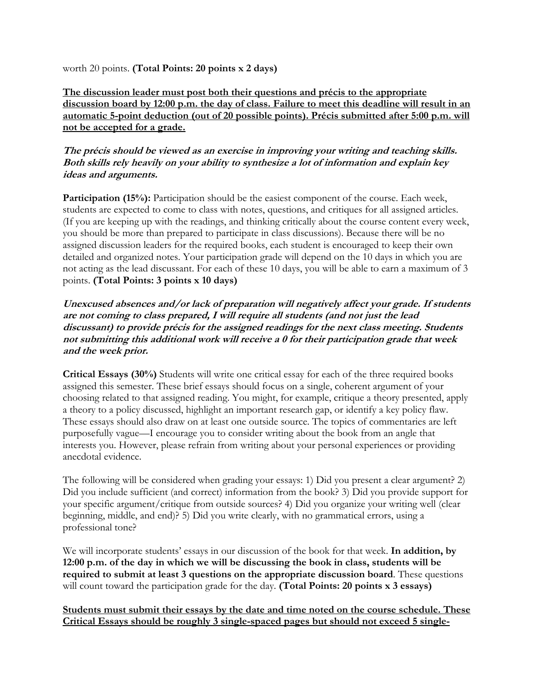worth 20 points. **(Total Points: 20 points x 2 days)**

**The discussion leader must post both their questions and précis to the appropriate discussion board by 12:00 p.m. the day of class. Failure to meet this deadline will result in an automatic 5-point deduction (out of 20 possible points). Précis submitted after 5:00 p.m. will not be accepted for a grade.** 

**The précis should be viewed as an exercise in improving your writing and teaching skills. Both skills rely heavily on your ability to synthesize a lot of information and explain key ideas and arguments.** 

**Participation (15%):** Participation should be the easiest component of the course. Each week, students are expected to come to class with notes, questions, and critiques for all assigned articles. (If you are keeping up with the readings, and thinking critically about the course content every week, you should be more than prepared to participate in class discussions). Because there will be no assigned discussion leaders for the required books, each student is encouraged to keep their own detailed and organized notes. Your participation grade will depend on the 10 days in which you are not acting as the lead discussant. For each of these 10 days, you will be able to earn a maximum of 3 points. **(Total Points: 3 points x 10 days)**

## **Unexcused absences and/or lack of preparation will negatively affect your grade. If students are not coming to class prepared, I will require all students (and not just the lead discussant) to provide précis for the assigned readings for the next class meeting. Students not submitting this additional work will receive a 0 for their participation grade that week and the week prior.**

**Critical Essays (30%)** Students will write one critical essay for each of the three required books assigned this semester. These brief essays should focus on a single, coherent argument of your choosing related to that assigned reading. You might, for example, critique a theory presented, apply a theory to a policy discussed, highlight an important research gap, or identify a key policy flaw. These essays should also draw on at least one outside source. The topics of commentaries are left purposefully vague—I encourage you to consider writing about the book from an angle that interests you. However, please refrain from writing about your personal experiences or providing anecdotal evidence.

The following will be considered when grading your essays: 1) Did you present a clear argument? 2) Did you include sufficient (and correct) information from the book? 3) Did you provide support for your specific argument/critique from outside sources? 4) Did you organize your writing well (clear beginning, middle, and end)? 5) Did you write clearly, with no grammatical errors, using a professional tone?

We will incorporate students' essays in our discussion of the book for that week. **In addition, by 12:00 p.m. of the day in which we will be discussing the book in class, students will be required to submit at least 3 questions on the appropriate discussion board**. These questions will count toward the participation grade for the day. **(Total Points: 20 points x 3 essays)**

**Students must submit their essays by the date and time noted on the course schedule. These Critical Essays should be roughly 3 single-spaced pages but should not exceed 5 single-**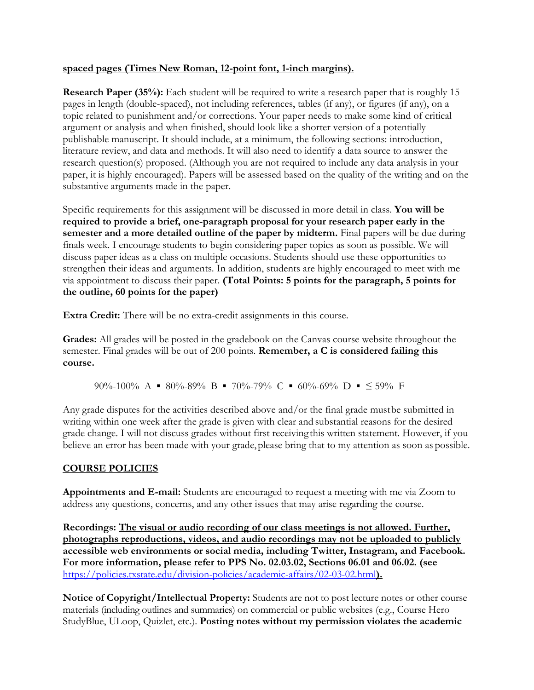## **spaced pages (Times New Roman, 12-point font, 1-inch margins).**

**Research Paper (35%):** Each student will be required to write a research paper that is roughly 15 pages in length (double-spaced), not including references, tables (if any), or figures (if any), on a topic related to punishment and/or corrections. Your paper needs to make some kind of critical argument or analysis and when finished, should look like a shorter version of a potentially publishable manuscript. It should include, at a minimum, the following sections: introduction, literature review, and data and methods. It will also need to identify a data source to answer the research question(s) proposed. (Although you are not required to include any data analysis in your paper, it is highly encouraged). Papers will be assessed based on the quality of the writing and on the substantive arguments made in the paper.

Specific requirements for this assignment will be discussed in more detail in class. **You will be required to provide a brief, one-paragraph proposal for your research paper early in the semester and a more detailed outline of the paper by midterm.** Final papers will be due during finals week. I encourage students to begin considering paper topics as soon as possible. We will discuss paper ideas as a class on multiple occasions. Students should use these opportunities to strengthen their ideas and arguments. In addition, students are highly encouraged to meet with me via appointment to discuss their paper. **(Total Points: 5 points for the paragraph, 5 points for the outline, 60 points for the paper)**

**Extra Credit:** There will be no extra-credit assignments in this course.

**Grades:** All grades will be posted in the gradebook on the Canvas course website throughout the semester. Final grades will be out of 200 points. **Remember, a C is considered failing this course.**

90%-100% A  $\blacksquare$  80%-89% B  $\blacksquare$  70%-79% C  $\blacksquare$  60%-69% D  $\blacksquare$   $\leq$  59% F

Any grade disputes for the activities described above and/or the final grade mustbe submitted in writing within one week after the grade is given with clear and substantial reasons for the desired grade change. I will not discuss grades without first receiving this written statement. However, if you believe an error has been made with your grade, please bring that to my attention as soon as possible.

# **COURSE POLICIES**

**Appointments and E-mail:** Students are encouraged to request a meeting with me via Zoom to address any questions, concerns, and any other issues that may arise regarding the course.

**Recordings: The visual or audio recording of our class meetings is not allowed. Further, photographs reproductions, videos, and audio recordings may not be uploaded to publicly accessible web environments or social media, including Twitter, Instagram, and Facebook. For more information, please refer to PPS No. 02.03.02, Sections 06.01 and 06.02. (see**  <https://policies.txstate.edu/division-policies/academic-affairs/02-03-02.html>**).**

**Notice of Copyright/Intellectual Property:** Students are not to post lecture notes or other course materials (including outlines and summaries) on commercial or public websites (e.g., Course Hero StudyBlue, ULoop, Quizlet, etc.). **Posting notes without my permission violates the academic**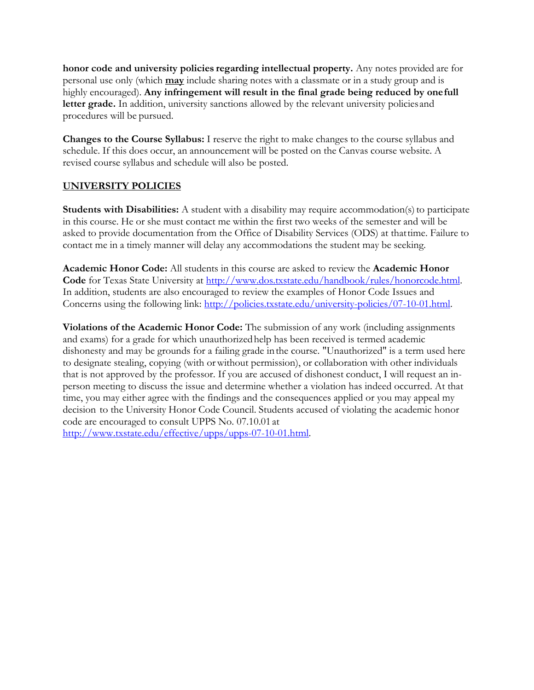**honor code and university policies regarding intellectual property.** Any notes provided are for personal use only (which **may** include sharing notes with a classmate or in a study group and is highly encouraged). Any infringement will result in the final grade being reduced by one full letter grade. In addition, university sanctions allowed by the relevant university policies and procedures will be pursued.

**Changes to the Course Syllabus:** I reserve the right to make changes to the course syllabus and schedule. If this does occur, an announcement will be posted on the Canvas course website. A revised course syllabus and schedule will also be posted.

## **UNIVERSITY POLICIES**

**Students with Disabilities:** A student with a disability may require accommodation(s) to participate in this course. He or she must contact me within the first two weeks of the semester and will be asked to provide documentation from the Office of Disability Services (ODS) at thattime. Failure to contact me in a timely manner will delay any accommodations the student may be seeking.

**Academic Honor Code:** All students in this course are asked to review the **Academic Honor Code** for Texas State University at [http://www.dos.txstate.edu/handbook/rules/honorcode.html.](http://www.dos.txstate.edu/handbook/rules/honorcode.html) In addition, students are also encouraged to review the examples of Honor Code Issues and Concerns using the following link: [http://policies.txstate.edu/university-policies/07-10-01.html.](http://policies.txstate.edu/university-policies/07-10-01.html)

**Violations of the Academic Honor Code:** The submission of any work (including assignments and exams) for a grade for which unauthorizedhelp has been received is termed academic dishonesty and may be grounds for a failing grade inthe course. "Unauthorized" is a term used here to designate stealing, copying (with orwithout permission), or collaboration with other individuals that is not approved by the professor. If you are accused of dishonest conduct, I will request an inperson meeting to discuss the issue and determine whether a violation has indeed occurred. At that time, you may either agree with the findings and the consequences applied or you may appeal my decision to the University Honor Code Council. Students accused of violating the academic honor code are encouraged to consult UPPS No. 07.10.01 at [http://www.txstate.edu/effective/upps/upps-07-10-01.html.](http://www.txstate.edu/effective/upps/upps-07-10-01.html)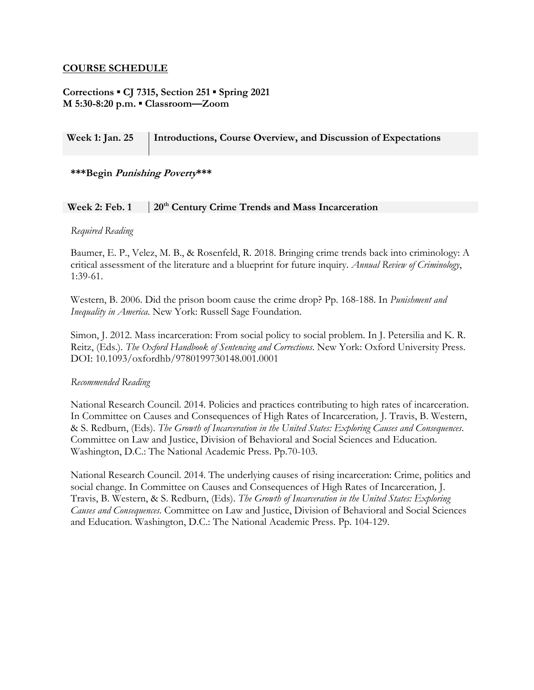#### **COURSE SCHEDULE**

## **Corrections ▪ CJ 7315, Section 251 ▪ Spring 2021 M 5:30-8:20 p.m. ▪ Classroom—Zoom**

## **Week 1: Jan. 25 Introductions, Course Overview, and Discussion of Expectations**

#### **\*\*\*Begin Punishing Poverty\*\*\***

#### **Week 2: Feb. 1 20th Century Crime Trends and Mass Incarceration**

#### *Required Reading*

Baumer, E. P., Velez, M. B., & Rosenfeld, R. 2018. Bringing crime trends back into criminology: A critical assessment of the literature and a blueprint for future inquiry. *Annual Review of Criminology*, 1:39-61.

Western, B. 2006. Did the prison boom cause the crime drop? Pp. 168-188. In *Punishment and Inequality in America*. New York: Russell Sage Foundation.

Simon, J. 2012. Mass incarceration: From social policy to social problem. In J. Petersilia and K. R. Reitz, (Eds.). *The Oxford Handbook of Sentencing and Corrections*. New York: Oxford University Press. DOI: 10.1093/oxfordhb/9780199730148.001.0001

#### *Recommended Reading*

National Research Council. 2014. Policies and practices contributing to high rates of incarceration. In Committee on Causes and Consequences of High Rates of Incarceration*,* J. Travis, B. Western, & S. Redburn, (Eds). *The Growth of Incarceration in the United States: Exploring Causes and Consequences*. Committee on Law and Justice, Division of Behavioral and Social Sciences and Education. Washington, D.C.: The National Academic Press. Pp.70-103.

National Research Council. 2014. The underlying causes of rising incarceration: Crime, politics and social change. In Committee on Causes and Consequences of High Rates of Incarceration*,* J. Travis, B. Western, & S. Redburn, (Eds). *The Growth of Incarceration in the United States: Exploring Causes and Consequences*. Committee on Law and Justice, Division of Behavioral and Social Sciences and Education. Washington, D.C.: The National Academic Press. Pp. 104-129.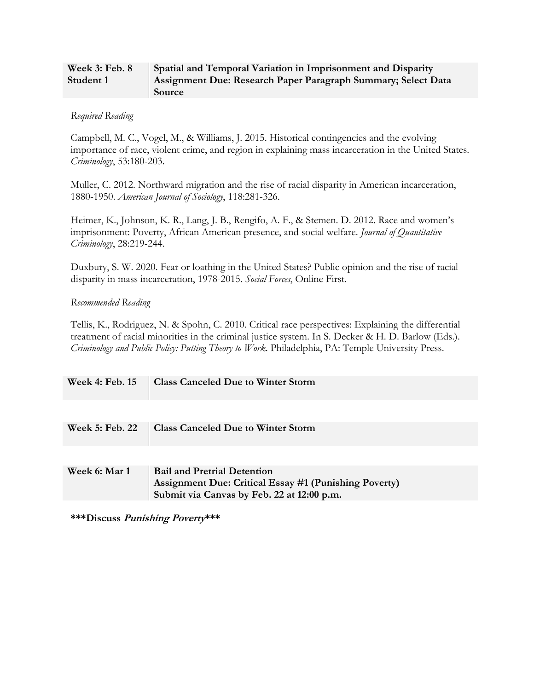| Week 3: Feb. 8 | <b>Spatial and Temporal Variation in Imprisonment and Disparity</b> |
|----------------|---------------------------------------------------------------------|
| Student 1      | Assignment Due: Research Paper Paragraph Summary; Select Data       |
|                | Source                                                              |

#### *Required Reading*

Campbell, M. C., Vogel, M., & Williams, J. 2015. Historical contingencies and the evolving importance of race, violent crime, and region in explaining mass incarceration in the United States. *Criminology*, 53:180-203.

Muller, C. 2012. Northward migration and the rise of racial disparity in American incarceration, 1880-1950. *American Journal of Sociology*, 118:281-326.

Heimer, K., Johnson, K. R., Lang, J. B., Rengifo, A. F., & Stemen. D. 2012. Race and women's imprisonment: Poverty, African American presence, and social welfare. *Journal of Quantitative Criminology*, 28:219-244.

Duxbury, S. W. 2020. Fear or loathing in the United States? Public opinion and the rise of racial disparity in mass incarceration, 1978-2015. *Social Forces*, Online First.

## *Recommended Reading*

Tellis, K., Rodriguez, N. & Spohn, C. 2010. Critical race perspectives: Explaining the differential treatment of racial minorities in the criminal justice system. In S. Decker & H. D. Barlow (Eds.). *Criminology and Public Policy: Putting Theory to Work*. Philadelphia, PA: Temple University Press.

| <b>Week 5: Feb. 22</b> | Class Canceled Due to Winter Storm                                                                                                        |
|------------------------|-------------------------------------------------------------------------------------------------------------------------------------------|
|                        |                                                                                                                                           |
| Week 6: Mar 1          | <b>Bail and Pretrial Detention</b><br>Assignment Due: Critical Essay #1 (Punishing Poverty)<br>Submit via Canvas by Feb. 22 at 12:00 p.m. |
|                        |                                                                                                                                           |

**\*\*\*Discuss Punishing Poverty\*\*\***

**Week 4: Feb. 15 Class Canceled Due to Winter Storm**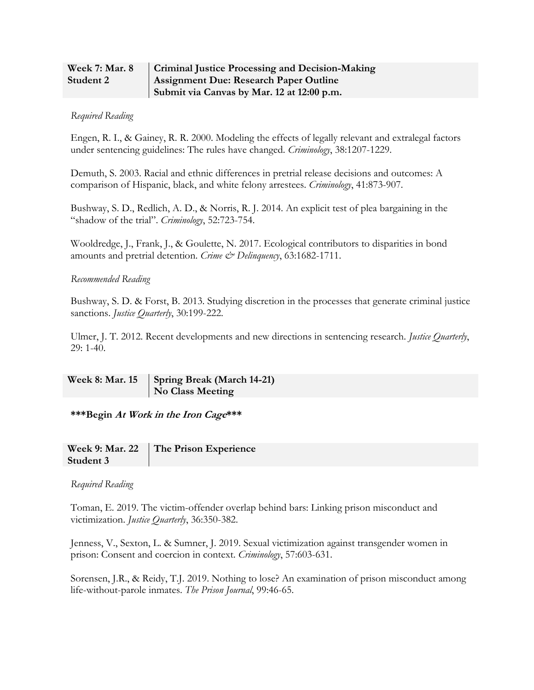| <b>Week 7: Mar. 8</b> | <b>Criminal Justice Processing and Decision-Making</b> |
|-----------------------|--------------------------------------------------------|
| Student 2             | <b>Assignment Due: Research Paper Outline</b>          |
|                       | Submit via Canvas by Mar. 12 at 12:00 p.m.             |

#### *Required Reading*

Engen, R. I., & Gainey, R. R. 2000. Modeling the effects of legally relevant and extralegal factors under sentencing guidelines: The rules have changed. *Criminology*, 38:1207-1229.

Demuth, S. 2003. Racial and ethnic differences in pretrial release decisions and outcomes: A comparison of Hispanic, black, and white felony arrestees. *Criminology*, 41:873-907.

Bushway, S. D., Redlich, A. D., & Norris, R. J. 2014. An explicit test of plea bargaining in the "shadow of the trial". *Criminology*, 52:723-754.

Wooldredge, J., Frank, J., & Goulette, N. 2017. Ecological contributors to disparities in bond amounts and pretrial detention. *Crime & Delinquency*, 63:1682-1711.

#### *Recommended Reading*

Bushway, S. D. & Forst, B. 2013. Studying discretion in the processes that generate criminal justice sanctions. *Justice Quarterly*, 30:199-222.

Ulmer, J. T. 2012. Recent developments and new directions in sentencing research. *Justice Quarterly*, 29: 1-40.

**Week 8: Mar. 15 Spring Break (March 14-21) No Class Meeting**

**\*\*\*Begin At Work in the Iron Cage\*\*\***

|           | Week 9: Mar. 22 The Prison Experience |
|-----------|---------------------------------------|
| Student 3 |                                       |

#### *Required Reading*

Toman, E. 2019. The victim-offender overlap behind bars: Linking prison misconduct and victimization. *Justice Quarterly*, 36:350-382.

Jenness, V., Sexton, L. & Sumner, J. 2019. Sexual victimization against transgender women in prison: Consent and coercion in context. *Criminology*, 57:603-631.

Sorensen, J.R., & Reidy, T.J. 2019. Nothing to lose? An examination of prison misconduct among life-without-parole inmates. *The Prison Journal*, 99:46-65.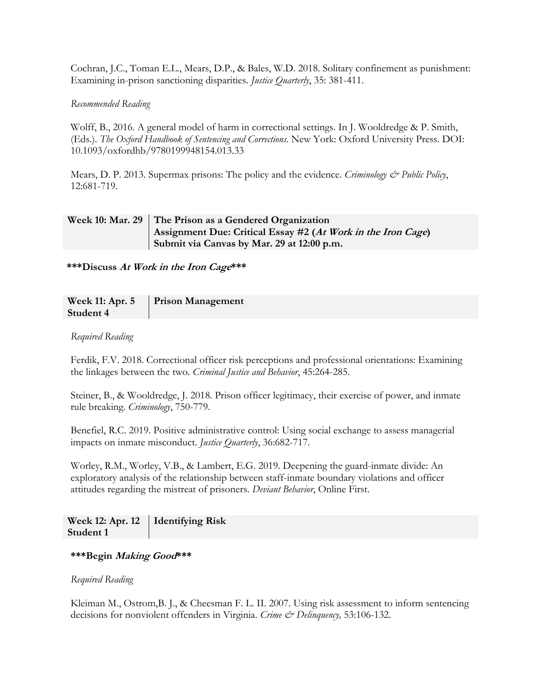Cochran, J.C., Toman E.L., Mears, D.P., & Bales, W.D. 2018. Solitary confinement as punishment: Examining in-prison sanctioning disparities. *Justice Quarterly*, 35: 381-411.

## *Recommended Reading*

Wolff, B., 2016. A general model of harm in correctional settings. In J. Wooldredge & P. Smith, (Eds.). *The Oxford Handbook of Sentencing and Corrections*. New York: Oxford University Press. DOI: 10.1093/oxfordhb/9780199948154.013.33

Mears, D. P. 2013. Supermax prisons: The policy and the evidence. *Criminology & Public Policy*, 12:681-719.

## **Week 10: Mar. 29 The Prison as a Gendered Organization Assignment Due: Critical Essay #2 (At Work in the Iron Cage) Submit via Canvas by Mar. 29 at 12:00 p.m.**

**\*\*\*Discuss At Work in the Iron Cage\*\*\*** 

| Week 11: Apr. 5 | <b>Prison Management</b> |
|-----------------|--------------------------|
| Student 4       |                          |

## *Required Reading*

Ferdik, F.V. 2018. Correctional officer risk perceptions and professional orientations: Examining the linkages between the two. *Criminal Justice and Behavior*, 45:264-285.

Steiner, B., & Wooldredge, J. 2018. Prison officer legitimacy, their exercise of power, and inmate rule breaking. *Criminology*, 750-779.

Benefiel, R.C. 2019. Positive administrative control: Using social exchange to assess managerial impacts on inmate misconduct. *Justice Quarterly*, 36:682-717.

Worley, R.M., Worley, V.B., & Lambert, E.G. 2019. Deepening the guard-inmate divide: An exploratory analysis of the relationship between staff-inmate boundary violations and officer attitudes regarding the mistreat of prisoners. *Deviant Behavior*, Online First.

**Week 12: Apr. 12 Student 1 Identifying Risk**

#### **\*\*\*Begin Making Good\*\*\***

#### *Required Reading*

Kleiman M., Ostrom,B. J., & Cheesman F. L. II. 2007. Using risk assessment to inform sentencing decisions for nonviolent offenders in Virginia. *Crime & Delinquency,* 53:106-132.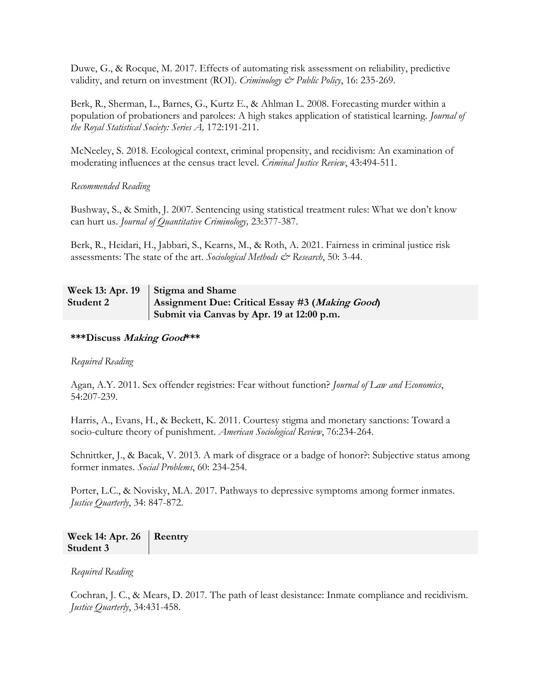Duwe, G., & Rocque, M. 2017. Effects of automating risk assessment on reliability, predictive validity, and return on investment (ROI). *Criminology & Public Policy*, 16: 235-269.

Berk, R., Sherman, L., Barnes, G., Kurtz E., & Ahlman L. 2008. Forecasting murder within a population of probationers and parolees: A high stakes application of statistical learning. *Journal of the Royal Statistical Society: Series A,* 172:191-211.

McNeeley, S. 2018. Ecological context, criminal propensity, and recidivism: An examination of moderating influences at the census tract level. *Criminal Justice Review*, 43:494-511.

## *Recommended Reading*

Bushway, S., & Smith, J. 2007. Sentencing using statistical treatment rules: What we don't know can hurt us. *Journal of Quantitative Criminology,* 23:377-387.

Berk, R., Heidari, H., Jabbari, S., Kearns, M., & Roth, A. 2021. Fairness in criminal justice risk assessments: The state of the art. *Sociological Methods & Research*, 50: 3-44.

#### **Week 13: Apr. 19 Student 2 Stigma and Shame Assignment Due: Critical Essay #3 (Making Good) Submit via Canvas by Apr. 19 at 12:00 p.m.**

#### **\*\*\*Discuss Making Good\*\*\***

*Required Reading* 

Agan, A.Y. 2011. Sex offender registries: Fear without function? *Journal of Law and Economics*, 54:207-239.

Harris, A., Evans, H., & Beckett, K. 2011. Courtesy stigma and monetary sanctions: Toward a socio-culture theory of punishment. *American Sociological Review*, 76:234-264.

Schnittker, J., & Bacak, V. 2013. A mark of disgrace or a badge of honor?: Subjective status among former inmates. *Social Problems*, 60: 234-254.

Porter, L.C., & Novisky, M.A. 2017. Pathways to depressive symptoms among former inmates. *Justice Quarterly*, 34: 847-872.

| Week 14: Apr. 26   Reentry |  |
|----------------------------|--|
| Student 3                  |  |

*Required Reading* 

Cochran, J. C., & Mears, D. 2017. The path of least desistance: Inmate compliance and recidivism. *Justice Quarterly*, 34:431-458.